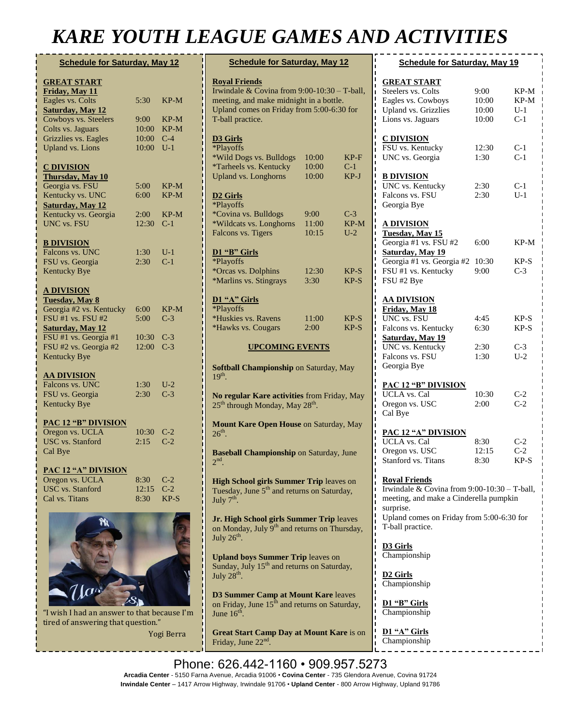# *KARE YOUTH LEAGUE GAMES AND ACTIVITIES*

| <b>Schedule for Saturday, May 12</b> |       |        |  |  |
|--------------------------------------|-------|--------|--|--|
| <b>GREAT START</b>                   |       |        |  |  |
| Friday, May 11                       |       |        |  |  |
| Eagles vs. Colts                     | 5:30  | $KP-M$ |  |  |
| <b>Saturday</b> , May 12             |       |        |  |  |
| Cowboys vs. Steelers                 | 9:00  | KP-M   |  |  |
| Colts vs. Jaguars                    | 10:00 | $KP-M$ |  |  |
| Grizzlies vs. Eagles                 | 10:00 | $C-4$  |  |  |
|                                      | 10:00 | $U-1$  |  |  |
| <b>Upland vs. Lions</b>              |       |        |  |  |
|                                      |       |        |  |  |
| <b>C DIVISION</b>                    |       |        |  |  |
| <b>Thursday</b> , May 10             | 5:00  |        |  |  |
| Georgia vs. FSU                      |       | KP-M   |  |  |
| Kentucky vs. UNC                     | 6:00  | $KP-M$ |  |  |
| <b>Saturday</b> , May 12             |       |        |  |  |
| Kentucky vs. Georgia                 | 2:00  | KP-M   |  |  |
| <b>UNC</b> vs. FSU                   | 12:30 | $C-1$  |  |  |
|                                      |       |        |  |  |
| <b>B DIVISION</b>                    |       |        |  |  |
| Falcons vs. UNC                      | 1:30  | U-1    |  |  |
| FSU vs. Georgia                      | 2:30  | $C-1$  |  |  |
| <b>Kentucky Bye</b>                  |       |        |  |  |
|                                      |       |        |  |  |
| <b>A DIVISION</b>                    |       |        |  |  |
| Tuesday, May 8                       |       |        |  |  |
| Georgia #2 vs. Kentucky              | 6:00  | KP-M   |  |  |
| FSU #1 vs. FSU #2                    | 5:00  | $C-3$  |  |  |
| <b>Saturday, May 12</b>              |       |        |  |  |
| FSU #1 vs. Georgia #1                | 10:30 | $C-3$  |  |  |
| FSU #2 vs. Georgia #2                | 12:00 | $C-3$  |  |  |
| <b>Kentucky Bye</b>                  |       |        |  |  |
|                                      |       |        |  |  |
| <u>AA DIVISION</u>                   |       |        |  |  |
| Falcons vs. UNC                      | 1:30  | $U-2$  |  |  |
| FSU vs. Georgia                      | 2:30  | $C-3$  |  |  |
| <b>Kentucky Bye</b>                  |       |        |  |  |
| <b>PAC 12 "B" DIVISION</b>           |       |        |  |  |
|                                      | 10:30 |        |  |  |
| Oregon vs. UCLA                      |       | $C-2$  |  |  |
| <b>USC</b> vs. Stanford              | 2:15  | $C-2$  |  |  |
| Cal Bye                              |       |        |  |  |
| PAC 12 "A" DIVISION                  |       |        |  |  |
| Oregon vs. UCLA                      | 8:30  | $C-2$  |  |  |
| <b>USC</b> vs. Stanford              | 12:15 | $C-2$  |  |  |
| Cal vs. Titans                       | 8:30  | KP-S   |  |  |
|                                      |       |        |  |  |
|                                      |       |        |  |  |
|                                      |       |        |  |  |



"I wish I had an answer to that because I'm tired of answering that question."

Yogi Berra

| <b>Schedule for Saturday, May 12</b>                                                                                                                                                    |                              |                          |  |  |
|-----------------------------------------------------------------------------------------------------------------------------------------------------------------------------------------|------------------------------|--------------------------|--|--|
| <b>Royal Friends</b><br>Irwindale & Covina from $9:00-10:30$ - T-ball,<br>meeting, and make midnight in a bottle.<br>ī<br>Upland comes on Friday from 5:00-6:30 for<br>T-ball practice. |                              |                          |  |  |
| <b>D3 Girls</b><br>*Playoffs<br>*Wild Dogs vs. Bulldogs<br>*Tarheels vs. Kentucky                                                                                                       | 10:00<br>10:00               | KP-F<br>$C-1$            |  |  |
| <b>Upland vs. Longhorns</b>                                                                                                                                                             | 10:00                        | KP-J                     |  |  |
| <b>D2 Girls</b><br><i><b>*Playoffs</b></i>                                                                                                                                              |                              |                          |  |  |
| *Covina vs. Bulldogs<br>*Wildcats vs. Longhorns<br>Falcons vs. Tigers                                                                                                                   | $9:00^{-}$<br>11:00<br>10:15 | $C-3$<br>$KP-M$<br>$U-2$ |  |  |
| D1 "B" Girls<br>*Playoffs                                                                                                                                                               |                              |                          |  |  |
| *Orcas vs. Dolphins<br>*Marlins vs. Stingrays                                                                                                                                           | 12:30<br>3:30                | $KP-S$<br>$KP-S$         |  |  |
| D1 "A" Girls<br>*Playoffs<br>*Huskies vs. Ravens<br>*Hawks vs. Cougars                                                                                                                  | 11:00<br>$2:00^{-}$          | $KP-S$<br>$KP-S$         |  |  |
| <b>UPCOMING EVENTS</b>                                                                                                                                                                  |                              |                          |  |  |
| <b>Softball Championship on Saturday, May</b><br>$19th$ .                                                                                                                               |                              |                          |  |  |
| No regular Kare activities from Friday, May<br>25 <sup>th</sup> through Monday, May 28 <sup>th</sup> .                                                                                  |                              |                          |  |  |
| Ï<br>Mount Kare Open House on Saturday, May<br>$26th$ .                                                                                                                                 |                              |                          |  |  |
| <b>Baseball Championship on Saturday, June</b><br>2 <sub>nd</sub>                                                                                                                       |                              |                          |  |  |
| <b>High School girls Summer Trip leaves on</b><br>Tuesday, June 5 <sup>th</sup> and returns on Saturday,<br>July 7 <sup>th</sup> .                                                      |                              |                          |  |  |
| Jr. High School girls Summer Trip leaves<br>on Monday, July 9 <sup>th</sup> and returns on Thursday,<br>July 26 <sup>th</sup>                                                           |                              |                          |  |  |
| <b>Upland boys Summer Trip leaves on</b><br>Sunday, July 15 <sup>th</sup> and returns on Saturday,<br>July 28 <sup>th</sup> .                                                           |                              |                          |  |  |
| ī<br><b>D3 Summer Camp at Mount Kare leaves</b><br>on Friday, June 15 <sup>th</sup> and returns on Saturday,<br>June $16th$                                                             |                              |                          |  |  |

**Great Start Camp Day at Mount Kare** is on Friday, June 22<sup>nd</sup>.

| <b>Schedule for Saturday, May 19</b>                                                                                                                                                                                              |                                 |                                  |  |  |
|-----------------------------------------------------------------------------------------------------------------------------------------------------------------------------------------------------------------------------------|---------------------------------|----------------------------------|--|--|
| <b>GREAT START</b><br>Steelers vs. Colts<br>Eagles vs. Cowboys<br><b>Upland vs. Grizzlies</b><br>Lions vs. Jaguars                                                                                                                | 9:00<br>10:00<br>10:00<br>10:00 | KP-M<br>KP-M<br>U-1<br>$C-1$     |  |  |
| <b>C DIVISION</b><br>FSU vs. Kentucky<br>UNC vs. Georgia                                                                                                                                                                          | 12:30<br>1:30                   | $C-1$<br>$C-1$                   |  |  |
| <b>B DIVISION</b><br>UNC vs. Kentucky<br>Falcons vs. FSU<br>Georgia Bye                                                                                                                                                           | 2:30<br>2:30                    | $C-1$<br>$U-1$                   |  |  |
| <b>A DIVISION</b><br>Tuesday, May 15<br>Georgia #1 vs. FSU #2<br>Saturday, May 19<br>Georgia #1 vs. Georgia #2<br>FSU #1 vs. Kentucky<br>FSU #2 Bye                                                                               | 6:00<br>10:30<br>9:00           | $KP-M$<br>KP-S<br>$C-3$          |  |  |
| <u>AA DIVISION</u><br>Friday, May 18<br>UNC vs. FSU<br>Falcons vs. Kentucky<br>Saturday, May 19<br>UNC vs. Kentucky<br>Falcons vs. FSU<br>Georgia Bye                                                                             | 4:45<br>6:30<br>2:30<br>1:30    | KP-S<br>$KP-S$<br>$C-3$<br>$U-2$ |  |  |
| <b>PAC 12 "B" DIVISION</b><br><b>UCLA</b> vs. Cal<br>Oregon vs. USC<br>Cal Bye                                                                                                                                                    | 10:30<br>2:00                   | $C-2$<br>$C-2$                   |  |  |
| <b>PAC 12 "A" DIVISION</b><br><b>UCLA</b> vs. Cal<br>Oregon vs. USC<br>Stanford vs. Titans<br>ı                                                                                                                                   | 8:30<br>12:15<br>8:30           | $C-2$<br>$C-2$<br>KP-S           |  |  |
| <b>Royal Friends</b><br>Irwindale & Covina from $9:00-10:30$ – T-ball,<br>ı<br>ı<br>meeting, and make a Cinderella pumpkin<br>ı<br>surprise.<br>ı<br>ı<br>Upland comes on Friday from 5:00-6:30 for<br>T-ball practice.<br>I<br>ı |                                 |                                  |  |  |
| ı<br><b>D3</b> Girls<br>ı<br>ı<br>Championship<br>ı                                                                                                                                                                               |                                 |                                  |  |  |
| ı<br>ı<br><b>D2 Girls</b><br>Championship<br>ı<br>I                                                                                                                                                                               |                                 |                                  |  |  |
| ı<br>D1 "B" Girls<br>ı<br>ı<br>Championship                                                                                                                                                                                       |                                 |                                  |  |  |

**D1 "A" Girls** Championship

Phone: 626.442-1160 • 909.957.5273 **C Division Camp Day at Mount Kare** is on rd Arcadia Center - 5150 Farna Avenue, Arcadia 91006 • Covina Center - 735 Glendora Avenue, Covina 91724 **Irwindale Center** – 1417 Arrow Highway, Irwindale 91706 • **Upland Center** - 800 Arrow Highway, Upland 91786